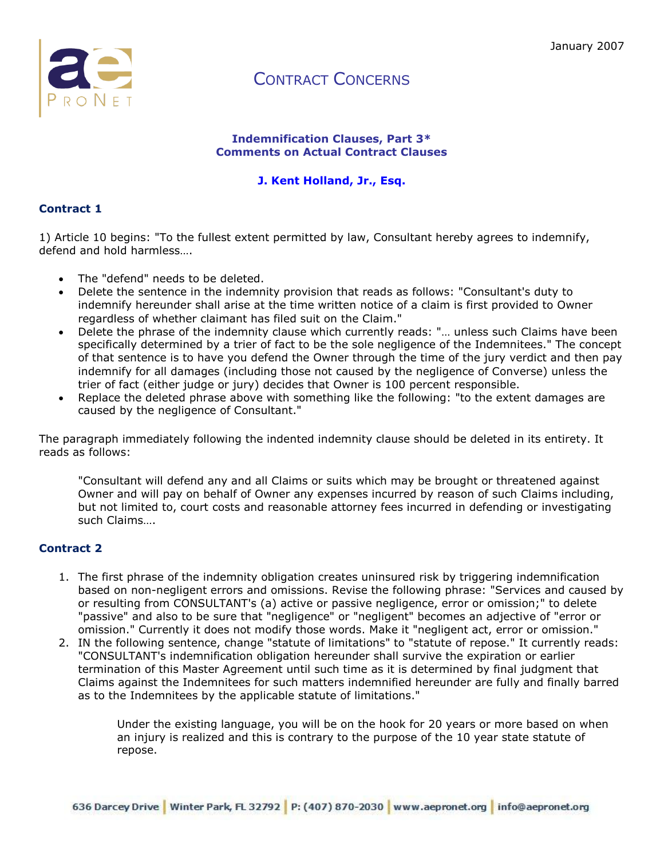

#### **Indemnification Clauses, Part 3\* Comments on Actual Contract Clauses**

### **J. Kent Holland, Jr., Esq.**

### **Contract 1**

1) Article 10 begins: "To the fullest extent permitted by law, Consultant hereby agrees to indemnify, defend and hold harmless….

- The "defend" needs to be deleted.
- Delete the sentence in the indemnity provision that reads as follows: "Consultant's duty to indemnify hereunder shall arise at the time written notice of a claim is first provided to Owner regardless of whether claimant has filed suit on the Claim."
- Delete the phrase of the indemnity clause which currently reads: "… unless such Claims have been specifically determined by a trier of fact to be the sole negligence of the Indemnitees." The concept of that sentence is to have you defend the Owner through the time of the jury verdict and then pay indemnify for all damages (including those not caused by the negligence of Converse) unless the trier of fact (either judge or jury) decides that Owner is 100 percent responsible.
- Replace the deleted phrase above with something like the following: "to the extent damages are caused by the negligence of Consultant."

The paragraph immediately following the indented indemnity clause should be deleted in its entirety. It reads as follows:

"Consultant will defend any and all Claims or suits which may be brought or threatened against Owner and will pay on behalf of Owner any expenses incurred by reason of such Claims including, but not limited to, court costs and reasonable attorney fees incurred in defending or investigating such Claims….

### **Contract 2**

- 1. The first phrase of the indemnity obligation creates uninsured risk by triggering indemnification based on non-negligent errors and omissions. Revise the following phrase: "Services and caused by or resulting from CONSULTANT's (a) active or passive negligence, error or omission;" to delete "passive" and also to be sure that "negligence" or "negligent" becomes an adjective of "error or omission." Currently it does not modify those words. Make it "negligent act, error or omission."
- 2. IN the following sentence, change "statute of limitations" to "statute of repose." It currently reads: "CONSULTANT's indemnification obligation hereunder shall survive the expiration or earlier termination of this Master Agreement until such time as it is determined by final judgment that Claims against the Indemnitees for such matters indemnified hereunder are fully and finally barred as to the Indemnitees by the applicable statute of limitations."

Under the existing language, you will be on the hook for 20 years or more based on when an injury is realized and this is contrary to the purpose of the 10 year state statute of repose.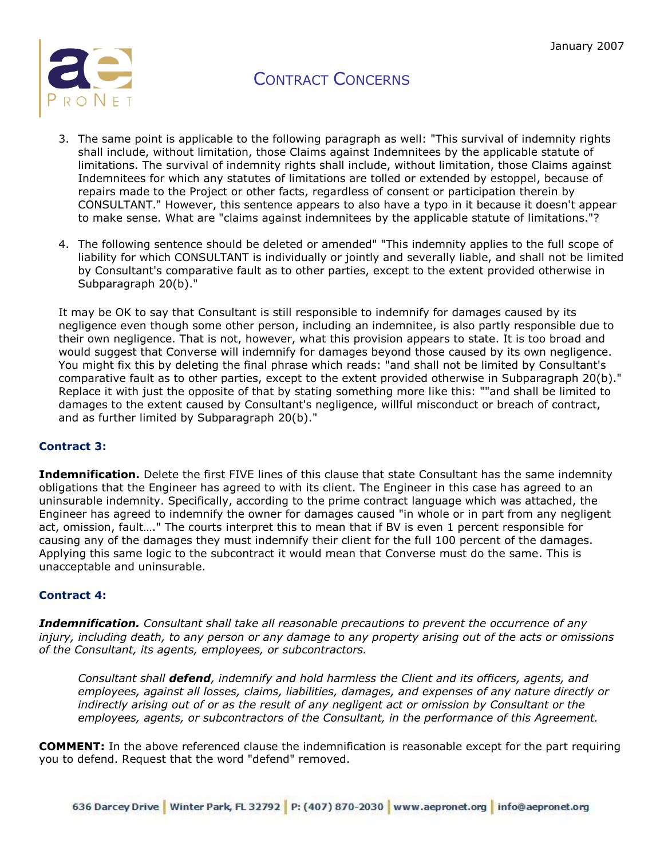

- 3. The same point is applicable to the following paragraph as well: "This survival of indemnity rights shall include, without limitation, those Claims against Indemnitees by the applicable statute of limitations. The survival of indemnity rights shall include, without limitation, those Claims against Indemnitees for which any statutes of limitations are tolled or extended by estoppel, because of repairs made to the Project or other facts, regardless of consent or participation therein by CONSULTANT." However, this sentence appears to also have a typo in it because it doesn't appear to make sense. What are "claims against indemnitees by the applicable statute of limitations."?
- 4. The following sentence should be deleted or amended" "This indemnity applies to the full scope of liability for which CONSULTANT is individually or jointly and severally liable, and shall not be limited by Consultant's comparative fault as to other parties, except to the extent provided otherwise in Subparagraph 20(b)."

It may be OK to say that Consultant is still responsible to indemnify for damages caused by its negligence even though some other person, including an indemnitee, is also partly responsible due to their own negligence. That is not, however, what this provision appears to state. It is too broad and would suggest that Converse will indemnify for damages beyond those caused by its own negligence. You might fix this by deleting the final phrase which reads: "and shall not be limited by Consultant's comparative fault as to other parties, except to the extent provided otherwise in Subparagraph 20(b)." Replace it with just the opposite of that by stating something more like this: ""and shall be limited to damages to the extent caused by Consultant's negligence, willful misconduct or breach of contract, and as further limited by Subparagraph 20(b)."

#### **Contract 3:**

**Indemnification.** Delete the first FIVE lines of this clause that state Consultant has the same indemnity obligations that the Engineer has agreed to with its client. The Engineer in this case has agreed to an uninsurable indemnity. Specifically, according to the prime contract language which was attached, the Engineer has agreed to indemnify the owner for damages caused "in whole or in part from any negligent act, omission, fault…." The courts interpret this to mean that if BV is even 1 percent responsible for causing any of the damages they must indemnify their client for the full 100 percent of the damages. Applying this same logic to the subcontract it would mean that Converse must do the same. This is unacceptable and uninsurable.

#### **Contract 4:**

*Indemnification. Consultant shall take all reasonable precautions to prevent the occurrence of any injury, including death, to any person or any damage to any property arising out of the acts or omissions of the Consultant, its agents, employees, or subcontractors.*

*Consultant shall defend, indemnify and hold harmless the Client and its officers, agents, and employees, against all losses, claims, liabilities, damages, and expenses of any nature directly or indirectly arising out of or as the result of any negligent act or omission by Consultant or the employees, agents, or subcontractors of the Consultant, in the performance of this Agreement.*

**COMMENT:** In the above referenced clause the indemnification is reasonable except for the part requiring you to defend. Request that the word "defend" removed.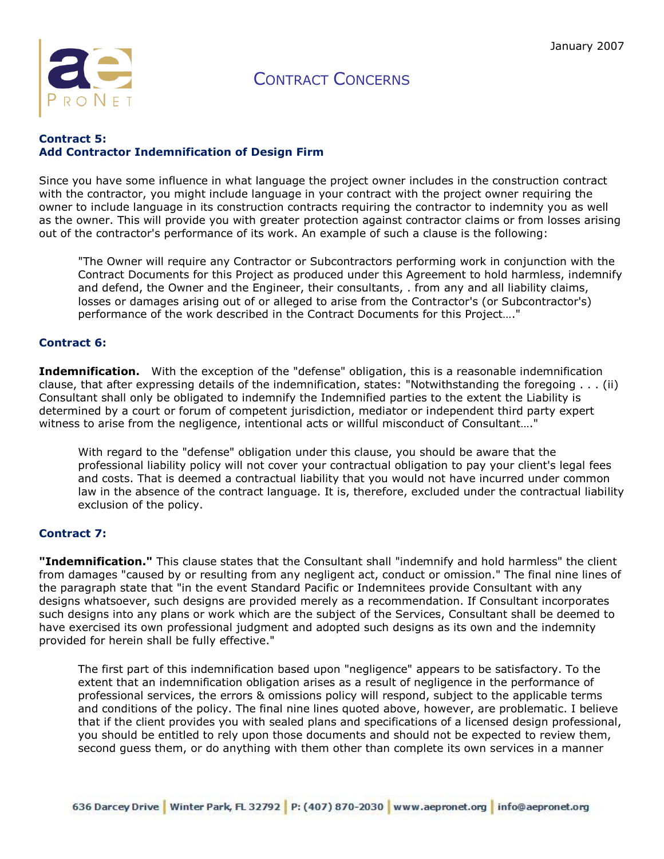

#### **Contract 5: Add Contractor Indemnification of Design Firm**

Since you have some influence in what language the project owner includes in the construction contract with the contractor, you might include language in your contract with the project owner requiring the owner to include language in its construction contracts requiring the contractor to indemnity you as well as the owner. This will provide you with greater protection against contractor claims or from losses arising out of the contractor's performance of its work. An example of such a clause is the following:

"The Owner will require any Contractor or Subcontractors performing work in conjunction with the Contract Documents for this Project as produced under this Agreement to hold harmless, indemnify and defend, the Owner and the Engineer, their consultants, . from any and all liability claims, losses or damages arising out of or alleged to arise from the Contractor's (or Subcontractor's) performance of the work described in the Contract Documents for this Project…."

#### **Contract 6:**

**Indemnification.** With the exception of the "defense" obligation, this is a reasonable indemnification clause, that after expressing details of the indemnification, states: "Notwithstanding the foregoing . . . (ii) Consultant shall only be obligated to indemnify the Indemnified parties to the extent the Liability is determined by a court or forum of competent jurisdiction, mediator or independent third party expert witness to arise from the negligence, intentional acts or willful misconduct of Consultant…."

With regard to the "defense" obligation under this clause, you should be aware that the professional liability policy will not cover your contractual obligation to pay your client's legal fees and costs. That is deemed a contractual liability that you would not have incurred under common law in the absence of the contract language. It is, therefore, excluded under the contractual liability exclusion of the policy.

#### **Contract 7:**

**"Indemnification."** This clause states that the Consultant shall "indemnify and hold harmless" the client from damages "caused by or resulting from any negligent act, conduct or omission." The final nine lines of the paragraph state that "in the event Standard Pacific or Indemnitees provide Consultant with any designs whatsoever, such designs are provided merely as a recommendation. If Consultant incorporates such designs into any plans or work which are the subject of the Services, Consultant shall be deemed to have exercised its own professional judgment and adopted such designs as its own and the indemnity provided for herein shall be fully effective."

The first part of this indemnification based upon "negligence" appears to be satisfactory. To the extent that an indemnification obligation arises as a result of negligence in the performance of professional services, the errors & omissions policy will respond, subject to the applicable terms and conditions of the policy. The final nine lines quoted above, however, are problematic. I believe that if the client provides you with sealed plans and specifications of a licensed design professional, you should be entitled to rely upon those documents and should not be expected to review them, second guess them, or do anything with them other than complete its own services in a manner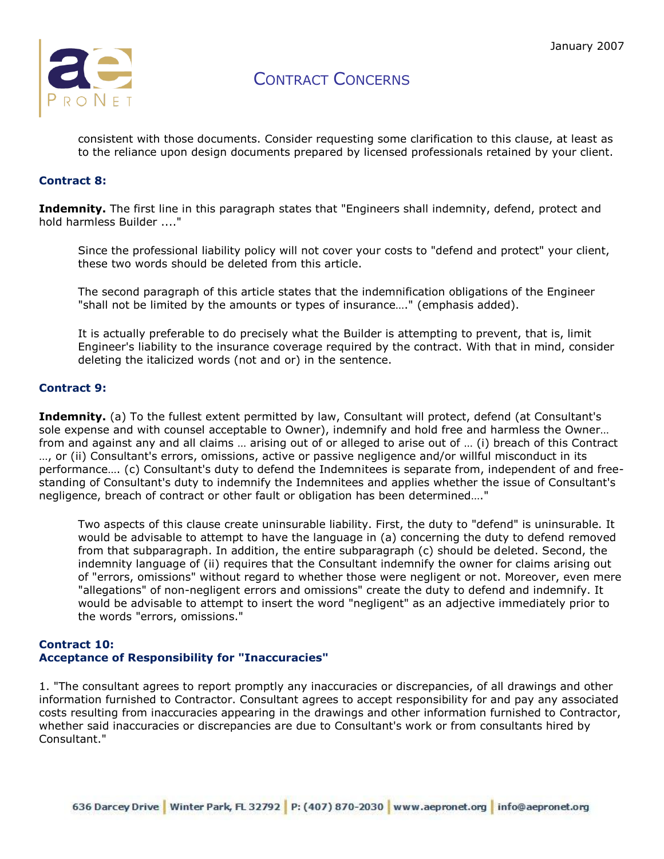

consistent with those documents. Consider requesting some clarification to this clause, at least as to the reliance upon design documents prepared by licensed professionals retained by your client.

#### **Contract 8:**

**Indemnity.** The first line in this paragraph states that "Engineers shall indemnity, defend, protect and hold harmless Builder ...."

Since the professional liability policy will not cover your costs to "defend and protect" your client, these two words should be deleted from this article.

The second paragraph of this article states that the indemnification obligations of the Engineer "shall not be limited by the amounts or types of insurance…." (emphasis added).

It is actually preferable to do precisely what the Builder is attempting to prevent, that is, limit Engineer's liability to the insurance coverage required by the contract. With that in mind, consider deleting the italicized words (not and or) in the sentence.

#### **Contract 9:**

**Indemnity.** (a) To the fullest extent permitted by law, Consultant will protect, defend (at Consultant's sole expense and with counsel acceptable to Owner), indemnify and hold free and harmless the Owner… from and against any and all claims … arising out of or alleged to arise out of … (i) breach of this Contract …, or (ii) Consultant's errors, omissions, active or passive negligence and/or willful misconduct in its performance…. (c) Consultant's duty to defend the Indemnitees is separate from, independent of and freestanding of Consultant's duty to indemnify the Indemnitees and applies whether the issue of Consultant's negligence, breach of contract or other fault or obligation has been determined…."

Two aspects of this clause create uninsurable liability. First, the duty to "defend" is uninsurable. It would be advisable to attempt to have the language in (a) concerning the duty to defend removed from that subparagraph. In addition, the entire subparagraph (c) should be deleted. Second, the indemnity language of (ii) requires that the Consultant indemnify the owner for claims arising out of "errors, omissions" without regard to whether those were negligent or not. Moreover, even mere "allegations" of non-negligent errors and omissions" create the duty to defend and indemnify. It would be advisable to attempt to insert the word "negligent" as an adjective immediately prior to the words "errors, omissions."

#### **Contract 10: Acceptance of Responsibility for "Inaccuracies"**

1. "The consultant agrees to report promptly any inaccuracies or discrepancies, of all drawings and other information furnished to Contractor. Consultant agrees to accept responsibility for and pay any associated costs resulting from inaccuracies appearing in the drawings and other information furnished to Contractor, whether said inaccuracies or discrepancies are due to Consultant's work or from consultants hired by Consultant."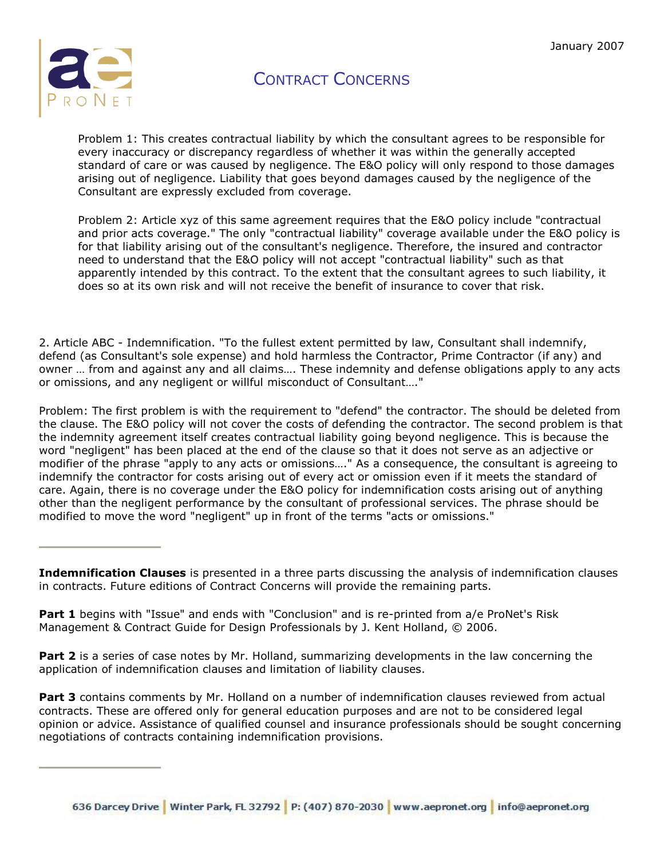

Problem 1: This creates contractual liability by which the consultant agrees to be responsible for every inaccuracy or discrepancy regardless of whether it was within the generally accepted standard of care or was caused by negligence. The E&O policy will only respond to those damages arising out of negligence. Liability that goes beyond damages caused by the negligence of the Consultant are expressly excluded from coverage.

Problem 2: Article xyz of this same agreement requires that the E&O policy include "contractual and prior acts coverage." The only "contractual liability" coverage available under the E&O policy is for that liability arising out of the consultant's negligence. Therefore, the insured and contractor need to understand that the E&O policy will not accept "contractual liability" such as that apparently intended by this contract. To the extent that the consultant agrees to such liability, it does so at its own risk and will not receive the benefit of insurance to cover that risk.

2. Article ABC - Indemnification. "To the fullest extent permitted by law, Consultant shall indemnify, defend (as Consultant's sole expense) and hold harmless the Contractor, Prime Contractor (if any) and owner … from and against any and all claims…. These indemnity and defense obligations apply to any acts or omissions, and any negligent or willful misconduct of Consultant…."

Problem: The first problem is with the requirement to "defend" the contractor. The should be deleted from the clause. The E&O policy will not cover the costs of defending the contractor. The second problem is that the indemnity agreement itself creates contractual liability going beyond negligence. This is because the word "negligent" has been placed at the end of the clause so that it does not serve as an adjective or modifier of the phrase "apply to any acts or omissions…." As a consequence, the consultant is agreeing to indemnify the contractor for costs arising out of every act or omission even if it meets the standard of care. Again, there is no coverage under the E&O policy for indemnification costs arising out of anything other than the negligent performance by the consultant of professional services. The phrase should be modified to move the word "negligent" up in front of the terms "acts or omissions."

**Indemnification Clauses** is presented in a three parts discussing the analysis of indemnification clauses in contracts. Future editions of Contract Concerns will provide the remaining parts.

Part 1 begins with "Issue" and ends with "Conclusion" and is re-printed from a/e ProNet's Risk Management & Contract Guide for Design Professionals by J. Kent Holland, © 2006.

**Part 2** is a series of case notes by Mr. Holland, summarizing developments in the law concerning the application of indemnification clauses and limitation of liability clauses.

**Part 3** contains comments by Mr. Holland on a number of indemnification clauses reviewed from actual contracts. These are offered only for general education purposes and are not to be considered legal opinion or advice. Assistance of qualified counsel and insurance professionals should be sought concerning negotiations of contracts containing indemnification provisions.